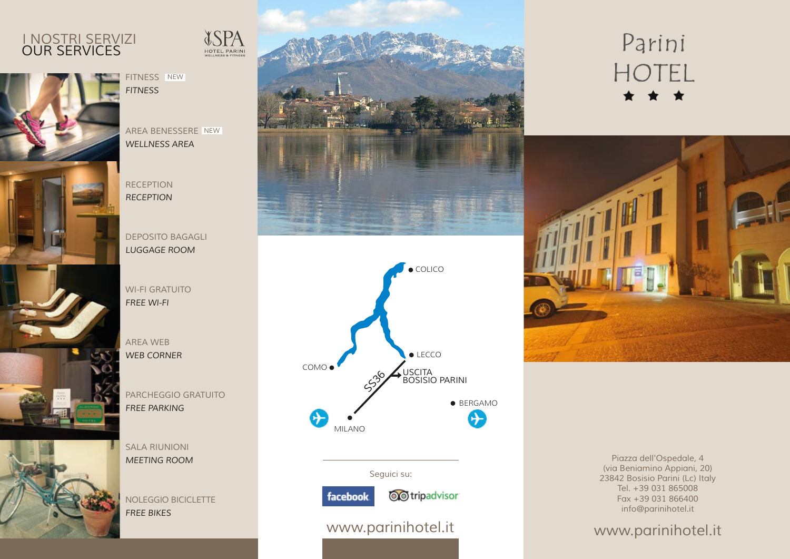## *OUR SERVICES I NOSTRI SERVIZI*





*AREA BENESSERE NEW WELLNESS AREA*

*RECEPTION RECEPTION*

*DEPOSITO BAGAGLI LUGGAGE ROOM*

*WI-FI GRATUITO FREE WI-FI*

*AREA WEB WEB CORNER*

*PARCHEGGIO GRATUITO FREE PARKING*

*SALA RIUNIONI MEETING ROOM*

*NOLEGGIO BICICLETTE FREE BIKES*





### *Seguici su:*



*www.parinihotel.it www.parinihotel.it*





*Piazza dell'Ospedale, 4 (via Beniamino Appiani, 20) 23842 Bosisio Parini (Lc) Italy Tel. +39 031 865008 Fax +39 031 866400 info@parinihotel.it*